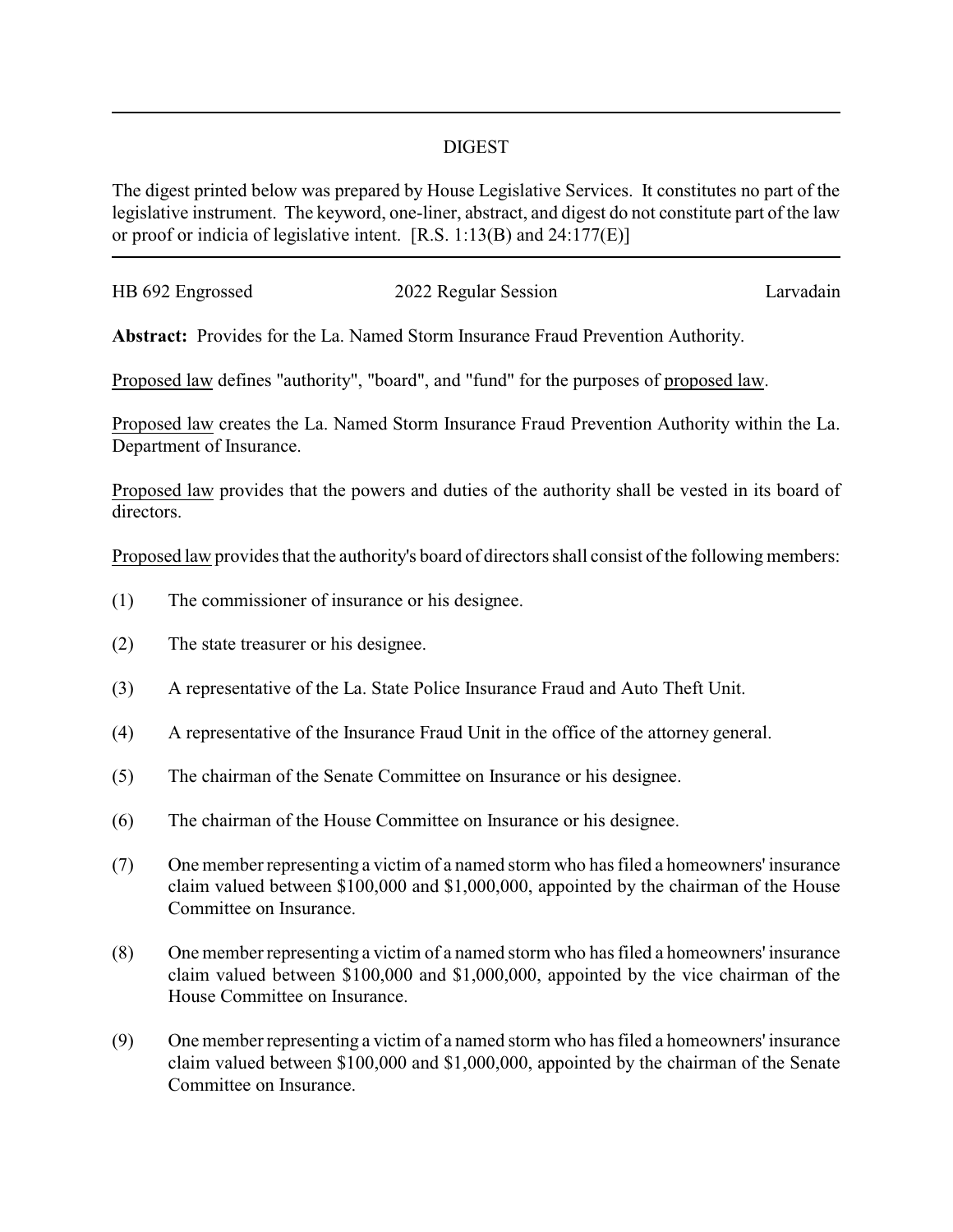## DIGEST

The digest printed below was prepared by House Legislative Services. It constitutes no part of the legislative instrument. The keyword, one-liner, abstract, and digest do not constitute part of the law or proof or indicia of legislative intent. [R.S. 1:13(B) and 24:177(E)]

| HB 692 Engrossed | 2022 Regular Session | Larvadain |
|------------------|----------------------|-----------|
|                  |                      |           |

**Abstract:** Provides for the La. Named Storm Insurance Fraud Prevention Authority.

Proposed law defines "authority", "board", and "fund" for the purposes of proposed law.

Proposed law creates the La. Named Storm Insurance Fraud Prevention Authority within the La. Department of Insurance.

Proposed law provides that the powers and duties of the authority shall be vested in its board of directors.

Proposed law provides that the authority's board of directors shall consist of the following members:

- (1) The commissioner of insurance or his designee.
- (2) The state treasurer or his designee.
- (3) A representative of the La. State Police Insurance Fraud and Auto Theft Unit.
- (4) A representative of the Insurance Fraud Unit in the office of the attorney general.
- (5) The chairman of the Senate Committee on Insurance or his designee.
- (6) The chairman of the House Committee on Insurance or his designee.
- (7) One member representing a victim of a named storm who has filed a homeowners' insurance claim valued between \$100,000 and \$1,000,000, appointed by the chairman of the House Committee on Insurance.
- (8) One member representing a victim of a named storm who has filed a homeowners' insurance claim valued between \$100,000 and \$1,000,000, appointed by the vice chairman of the House Committee on Insurance.
- (9) One member representing a victim of a named storm who has filed a homeowners' insurance claim valued between \$100,000 and \$1,000,000, appointed by the chairman of the Senate Committee on Insurance.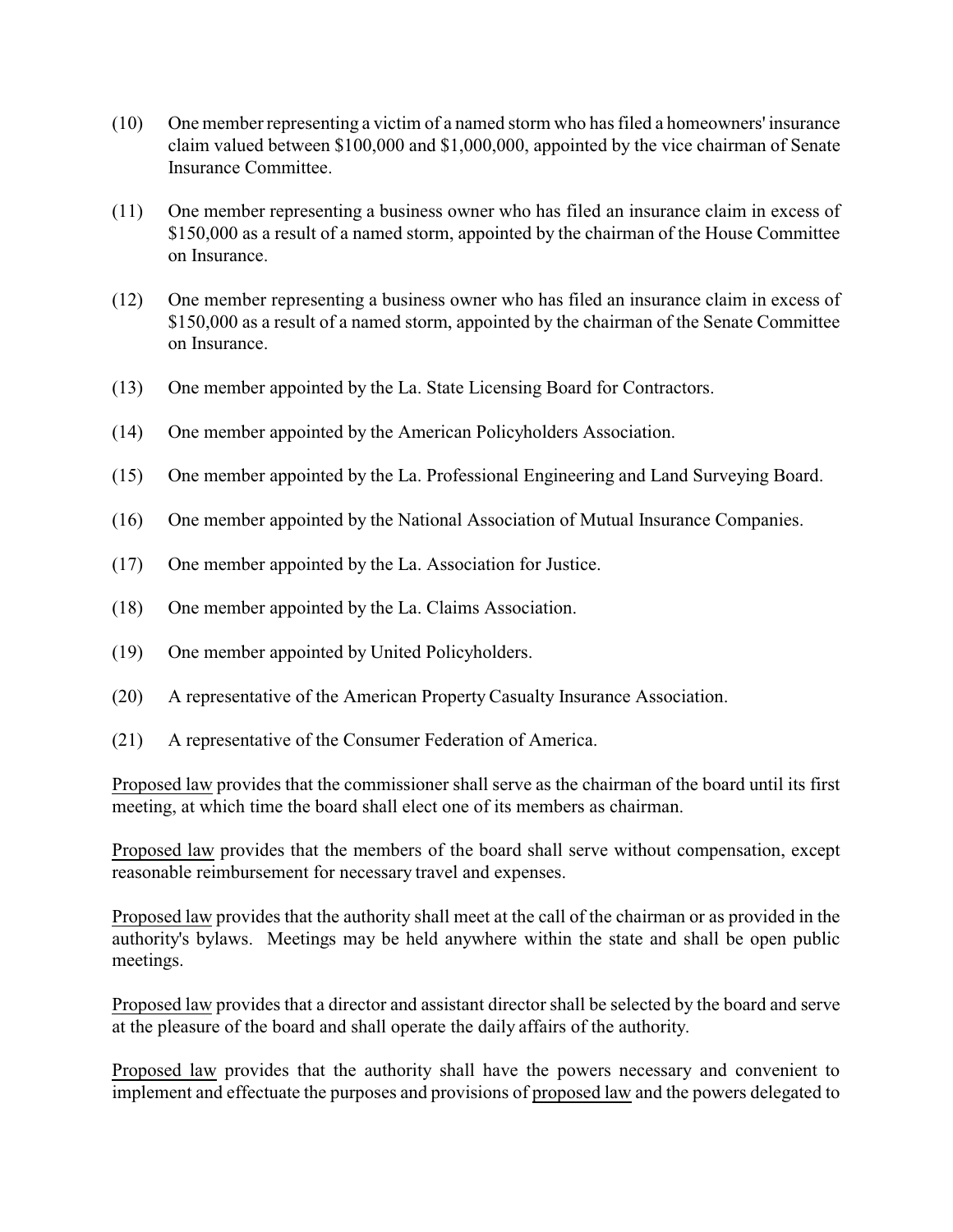- (10) One member representing a victim of a named storm who has filed a homeowners' insurance claim valued between \$100,000 and \$1,000,000, appointed by the vice chairman of Senate Insurance Committee.
- (11) One member representing a business owner who has filed an insurance claim in excess of \$150,000 as a result of a named storm, appointed by the chairman of the House Committee on Insurance.
- (12) One member representing a business owner who has filed an insurance claim in excess of \$150,000 as a result of a named storm, appointed by the chairman of the Senate Committee on Insurance.
- (13) One member appointed by the La. State Licensing Board for Contractors.
- (14) One member appointed by the American Policyholders Association.
- (15) One member appointed by the La. Professional Engineering and Land Surveying Board.
- (16) One member appointed by the National Association of Mutual Insurance Companies.
- (17) One member appointed by the La. Association for Justice.
- (18) One member appointed by the La. Claims Association.
- (19) One member appointed by United Policyholders.
- (20) A representative of the American Property Casualty Insurance Association.
- (21) A representative of the Consumer Federation of America.

Proposed law provides that the commissioner shall serve as the chairman of the board until its first meeting, at which time the board shall elect one of its members as chairman.

Proposed law provides that the members of the board shall serve without compensation, except reasonable reimbursement for necessary travel and expenses.

Proposed law provides that the authority shall meet at the call of the chairman or as provided in the authority's bylaws. Meetings may be held anywhere within the state and shall be open public meetings.

Proposed law provides that a director and assistant director shall be selected by the board and serve at the pleasure of the board and shall operate the daily affairs of the authority.

Proposed law provides that the authority shall have the powers necessary and convenient to implement and effectuate the purposes and provisions of proposed law and the powers delegated to